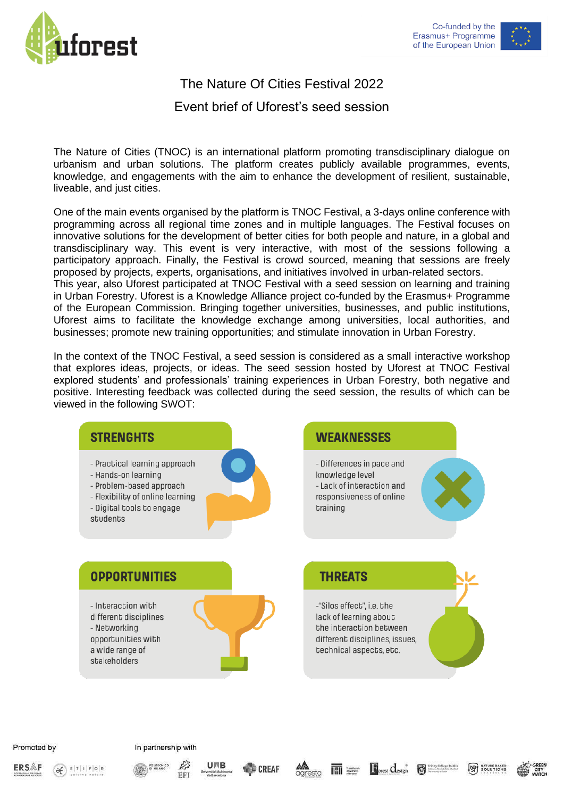



## The Nature Of Cities Festival 2022

## Event brief of Uforest's seed session

The Nature of Cities (TNOC) is an international platform promoting transdisciplinary dialogue on urbanism and urban solutions. The platform creates publicly available programmes, events, knowledge, and engagements with the aim to enhance the development of resilient, sustainable, liveable, and just cities.

One of the main events organised by the platform is TNOC Festival, a 3-days online conference with programming across all regional time zones and in multiple languages. The Festival focuses on innovative solutions for the development of better cities for both people and nature, in a global and transdisciplinary way. This event is very interactive, with most of the sessions following a participatory approach. Finally, the Festival is crowd sourced, meaning that sessions are freely proposed by projects, experts, organisations, and initiatives involved in urban-related sectors. This year, also Uforest participated at TNOC Festival with a seed session on learning and training in Urban Forestry. Uforest is a Knowledge Alliance project co-funded by the Erasmus+ Programme of the European Commission. Bringing together universities, businesses, and public institutions, Uforest aims to facilitate the knowledge exchange among universities, local authorities, and businesses; promote new training opportunities; and stimulate innovation in Urban Forestry.

In the context of the TNOC Festival, a seed session is considered as a small interactive workshop that explores ideas, projects, or ideas. The seed session hosted by Uforest at TNOC Festival explored students' and professionals' training experiences in Urban Forestry, both negative and positive. Interesting feedback was collected during the seed session, the results of which can be viewed in the following SWOT:



**ERSAF** 





EFI